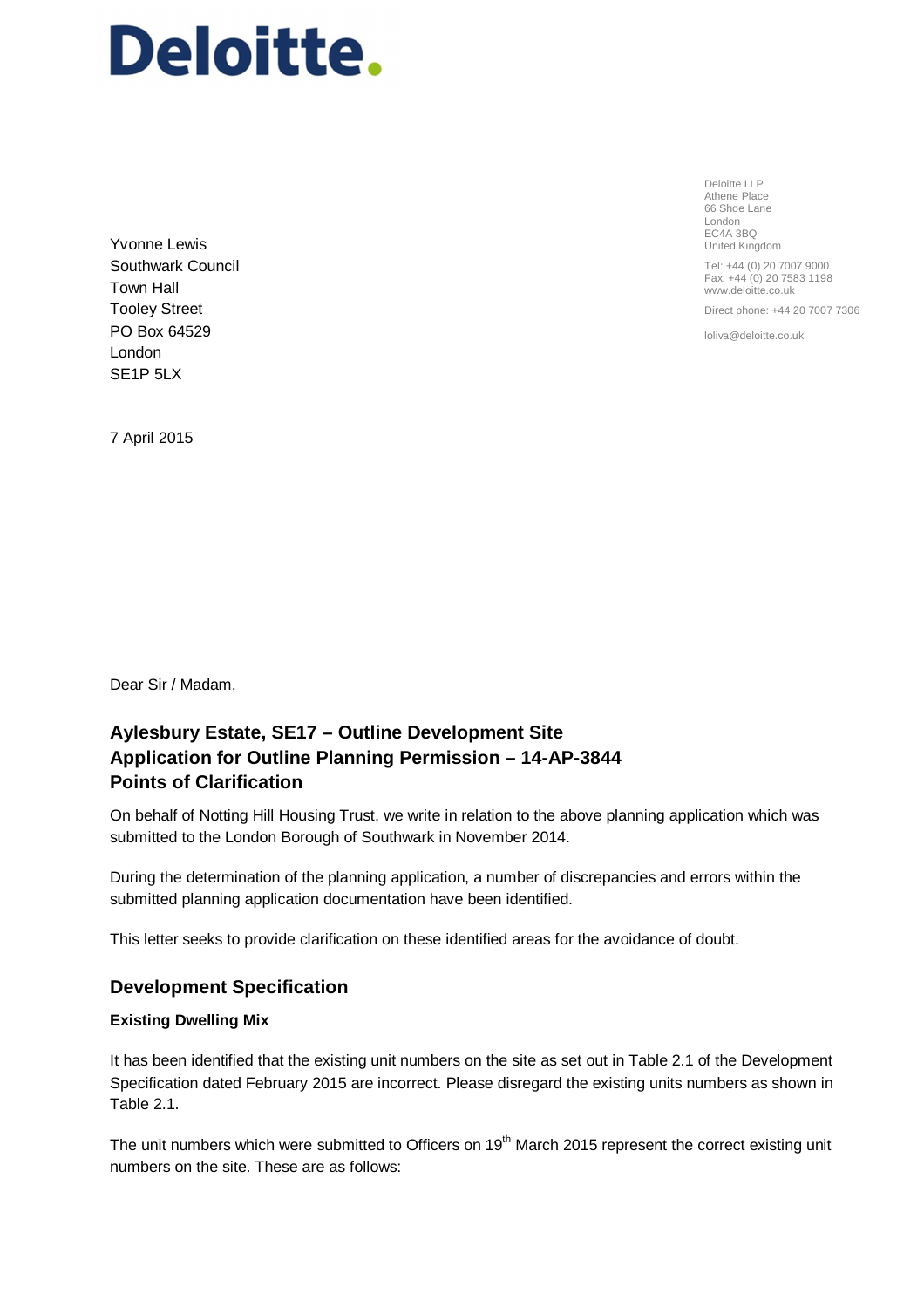# Deloitte.

Yvonne Lewis Southwark Council Town Hall Tooley Street PO Box 64529 London SE1P 5LX

Deloitte LLP Athene Place 66 Shoe Lane London EC4A 3BQ United Kingdom Tel: +44 (0) 20 7007 9000

Fax: +44 (0) 20 7583 1198 www.deloitte.co.uk

Direct phone: +44 20 7007 7306

loliva@deloitte.co.uk

7 April 2015

Dear Sir / Madam,

# **Aylesbury Estate, SE17 – Outline Development Site Application for Outline Planning Permission – 14-AP-3844 Points of Clarification**

On behalf of Notting Hill Housing Trust, we write in relation to the above planning application which was submitted to the London Borough of Southwark in November 2014.

During the determination of the planning application, a number of discrepancies and errors within the submitted planning application documentation have been identified.

This letter seeks to provide clarification on these identified areas for the avoidance of doubt.

# **Development Specification**

# **Existing Dwelling Mix**

It has been identified that the existing unit numbers on the site as set out in Table 2.1 of the Development Specification dated February 2015 are incorrect. Please disregard the existing units numbers as shown in Table 2.1.

The unit numbers which were submitted to Officers on 19<sup>th</sup> March 2015 represent the correct existing unit numbers on the site. These are as follows: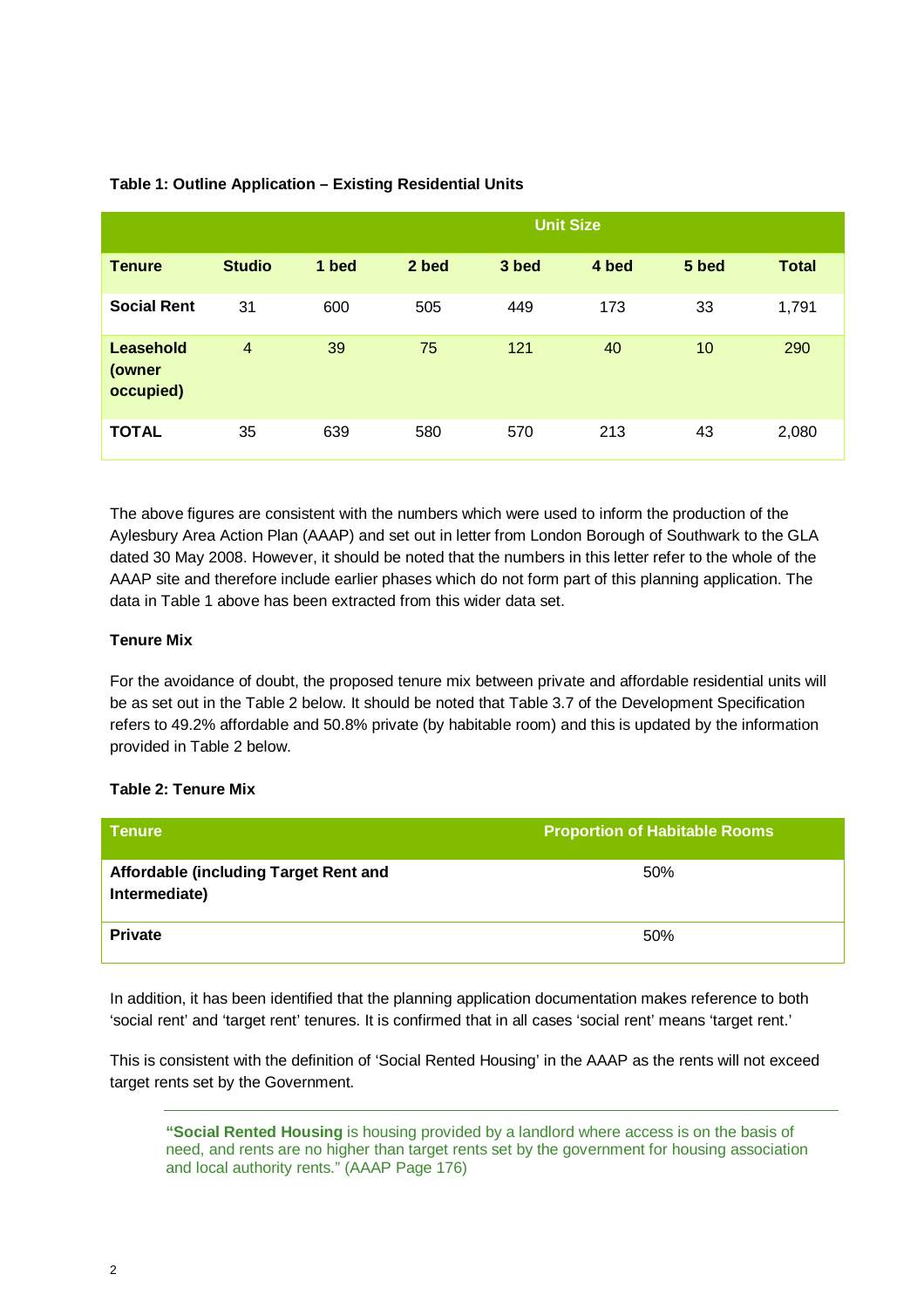|                                         |                |       |       |       | <b>Unit Size</b> |       |              |
|-----------------------------------------|----------------|-------|-------|-------|------------------|-------|--------------|
| <b>Tenure</b>                           | <b>Studio</b>  | 1 bed | 2 bed | 3 bed | 4 bed            | 5 bed | <b>Total</b> |
| <b>Social Rent</b>                      | 31             | 600   | 505   | 449   | 173              | 33    | 1,791        |
| <b>Leasehold</b><br>(owner<br>occupied) | $\overline{4}$ | 39    | 75    | 121   | 40               | 10    | 290          |
| <b>TOTAL</b>                            | 35             | 639   | 580   | 570   | 213              | 43    | 2,080        |

# **Table 1: Outline Application – Existing Residential Units**

The above figures are consistent with the numbers which were used to inform the production of the Aylesbury Area Action Plan (AAAP) and set out in letter from London Borough of Southwark to the GLA dated 30 May 2008. However, it should be noted that the numbers in this letter refer to the whole of the AAAP site and therefore include earlier phases which do not form part of this planning application. The data in Table 1 above has been extracted from this wider data set.

# **Tenure Mix**

For the avoidance of doubt, the proposed tenure mix between private and affordable residential units will be as set out in the Table 2 below. It should be noted that Table 3.7 of the Development Specification refers to 49.2% affordable and 50.8% private (by habitable room) and this is updated by the information provided in Table 2 below.

# **Table 2: Tenure Mix**

| <b>Tenure</b>                                          | <b>Proportion of Habitable Rooms</b> |
|--------------------------------------------------------|--------------------------------------|
| Affordable (including Target Rent and<br>Intermediate) | 50%                                  |
| <b>Private</b>                                         | 50%                                  |

In addition, it has been identified that the planning application documentation makes reference to both 'social rent' and 'target rent' tenures. It is confirmed that in all cases 'social rent' means 'target rent.'

This is consistent with the definition of 'Social Rented Housing' in the AAAP as the rents will not exceed target rents set by the Government.

**"Social Rented Housing** is housing provided by a landlord where access is on the basis of need, and rents are no higher than target rents set by the government for housing association and local authority rents." (AAAP Page 176)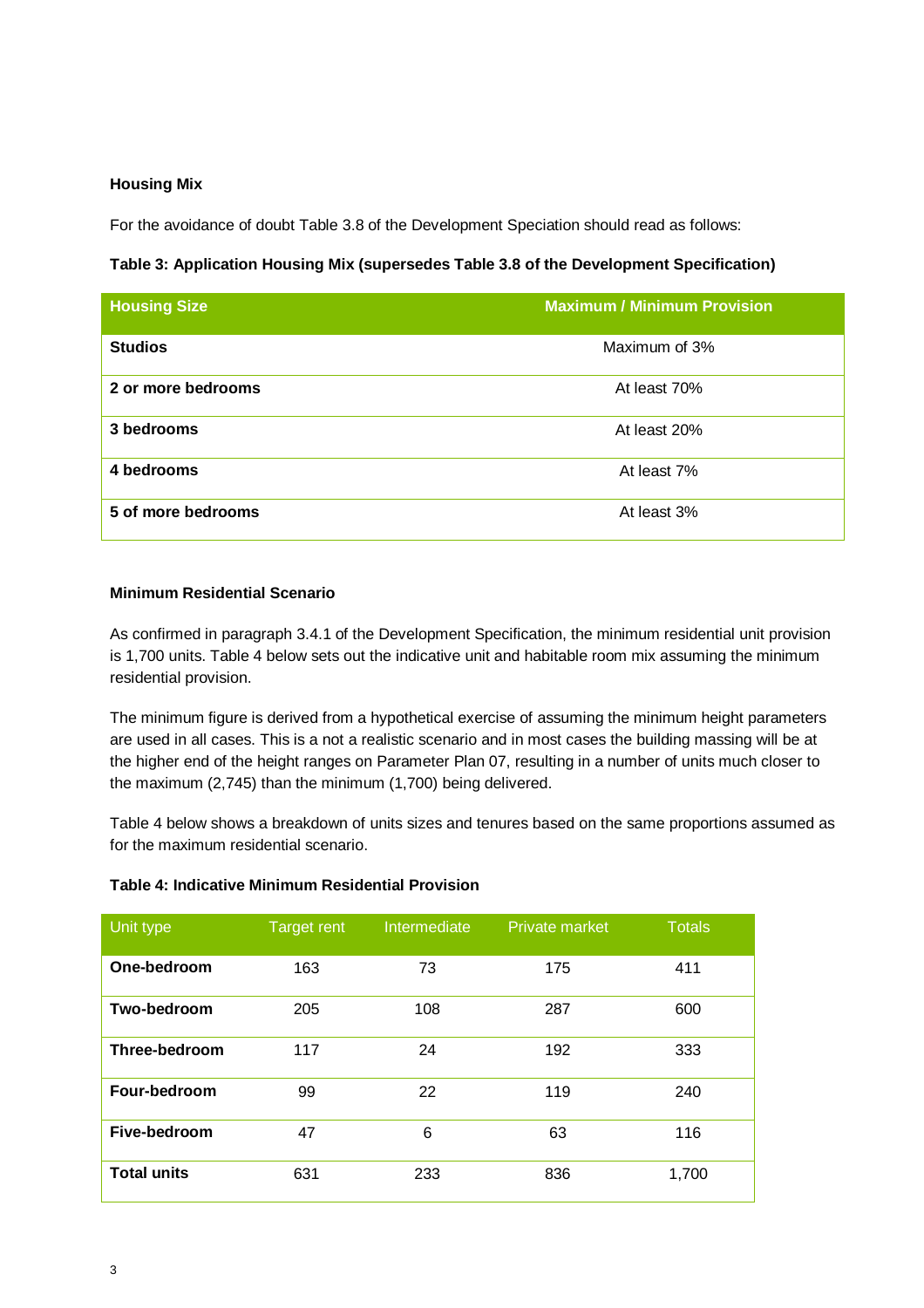#### **Housing Mix**

For the avoidance of doubt Table 3.8 of the Development Speciation should read as follows:

# **Table 3: Application Housing Mix (supersedes Table 3.8 of the Development Specification)**

| <b>Housing Size</b> | <b>Maximum / Minimum Provision</b> |
|---------------------|------------------------------------|
| <b>Studios</b>      | Maximum of 3%                      |
| 2 or more bedrooms  | At least 70%                       |
| 3 bedrooms          | At least 20%                       |
| 4 bedrooms          | At least 7%                        |
| 5 of more bedrooms  | At least 3%                        |

# **Minimum Residential Scenario**

As confirmed in paragraph 3.4.1 of the Development Specification, the minimum residential unit provision is 1,700 units. Table 4 below sets out the indicative unit and habitable room mix assuming the minimum residential provision.

The minimum figure is derived from a hypothetical exercise of assuming the minimum height parameters are used in all cases. This is a not a realistic scenario and in most cases the building massing will be at the higher end of the height ranges on Parameter Plan 07, resulting in a number of units much closer to the maximum (2,745) than the minimum (1,700) being delivered.

Table 4 below shows a breakdown of units sizes and tenures based on the same proportions assumed as for the maximum residential scenario.

| Unit type            | <b>Target rent</b> | Intermediate | Private market | <b>Totals</b> |
|----------------------|--------------------|--------------|----------------|---------------|
| One-bedroom          | 163                | 73           | 175            | 411           |
| Two-bedroom          | 205                | 108          | 287            | 600           |
| <b>Three-bedroom</b> | 117                | 24           | 192            | 333           |
| Four-bedroom         | 99                 | 22           | 119            | 240           |
| Five-bedroom         | 47                 | 6            | 63             | 116           |
| <b>Total units</b>   | 631                | 233          | 836            | 1,700         |

#### **Table 4: Indicative Minimum Residential Provision**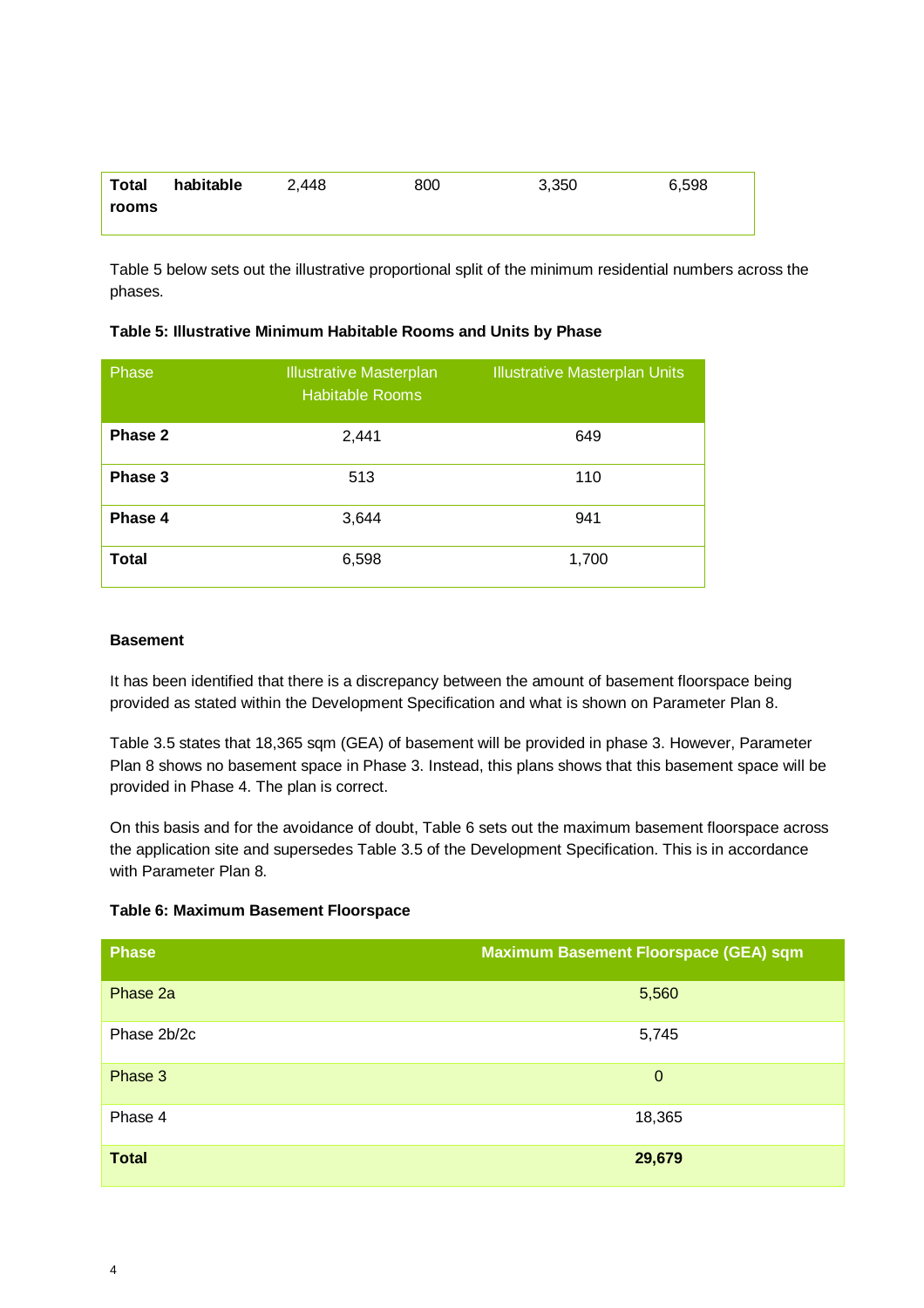| Total | habitable | 2.448 | 800 | 3,350 | 6,598 |
|-------|-----------|-------|-----|-------|-------|
| rooms |           |       |     |       |       |

Table 5 below sets out the illustrative proportional split of the minimum residential numbers across the phases.

| Table 5: Illustrative Minimum Habitable Rooms and Units by Phase |  |
|------------------------------------------------------------------|--|
|                                                                  |  |

| Phase        | <b>Illustrative Masterplan</b><br><b>Habitable Rooms</b> | <b>Illustrative Masterplan Units</b> |
|--------------|----------------------------------------------------------|--------------------------------------|
| Phase 2      | 2,441                                                    | 649                                  |
| Phase 3      | 513                                                      | 110                                  |
| Phase 4      | 3,644                                                    | 941                                  |
| <b>Total</b> | 6,598                                                    | 1,700                                |

# **Basement**

It has been identified that there is a discrepancy between the amount of basement floorspace being provided as stated within the Development Specification and what is shown on Parameter Plan 8.

Table 3.5 states that 18,365 sqm (GEA) of basement will be provided in phase 3. However, Parameter Plan 8 shows no basement space in Phase 3. Instead, this plans shows that this basement space will be provided in Phase 4. The plan is correct.

On this basis and for the avoidance of doubt, Table 6 sets out the maximum basement floorspace across the application site and supersedes Table 3.5 of the Development Specification. This is in accordance with Parameter Plan 8.

| Table 6: Maximum Basement Floorspace |  |  |
|--------------------------------------|--|--|
|--------------------------------------|--|--|

| <b>Phase</b> | Maximum Basement Floorspace (GEA) sqm |
|--------------|---------------------------------------|
| Phase 2a     | 5,560                                 |
| Phase 2b/2c  | 5,745                                 |
| Phase 3      | $\mathbf 0$                           |
| Phase 4      | 18,365                                |
| <b>Total</b> | 29,679                                |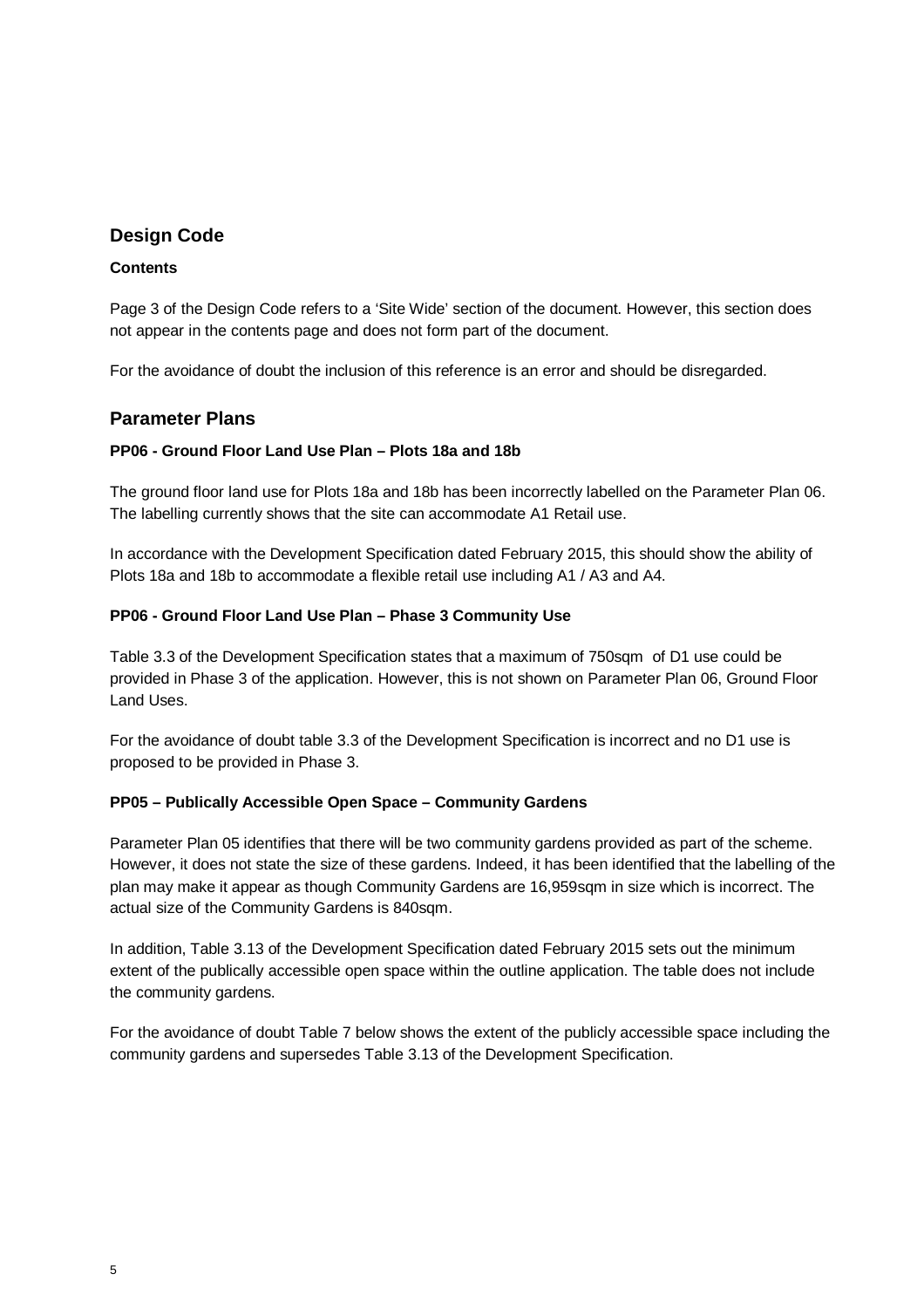# **Design Code**

# **Contents**

Page 3 of the Design Code refers to a 'Site Wide' section of the document. However, this section does not appear in the contents page and does not form part of the document.

For the avoidance of doubt the inclusion of this reference is an error and should be disregarded.

# **Parameter Plans**

# **PP06 - Ground Floor Land Use Plan – Plots 18a and 18b**

The ground floor land use for Plots 18a and 18b has been incorrectly labelled on the Parameter Plan 06. The labelling currently shows that the site can accommodate A1 Retail use.

In accordance with the Development Specification dated February 2015, this should show the ability of Plots 18a and 18b to accommodate a flexible retail use including A1 / A3 and A4.

# **PP06 - Ground Floor Land Use Plan – Phase 3 Community Use**

Table 3.3 of the Development Specification states that a maximum of 750sqm of D1 use could be provided in Phase 3 of the application. However, this is not shown on Parameter Plan 06, Ground Floor Land Uses.

For the avoidance of doubt table 3.3 of the Development Specification is incorrect and no D1 use is proposed to be provided in Phase 3.

# **PP05 – Publically Accessible Open Space – Community Gardens**

Parameter Plan 05 identifies that there will be two community gardens provided as part of the scheme. However, it does not state the size of these gardens. Indeed, it has been identified that the labelling of the plan may make it appear as though Community Gardens are 16,959sqm in size which is incorrect. The actual size of the Community Gardens is 840sqm.

In addition, Table 3.13 of the Development Specification dated February 2015 sets out the minimum extent of the publically accessible open space within the outline application. The table does not include the community gardens.

For the avoidance of doubt Table 7 below shows the extent of the publicly accessible space including the community gardens and supersedes Table 3.13 of the Development Specification.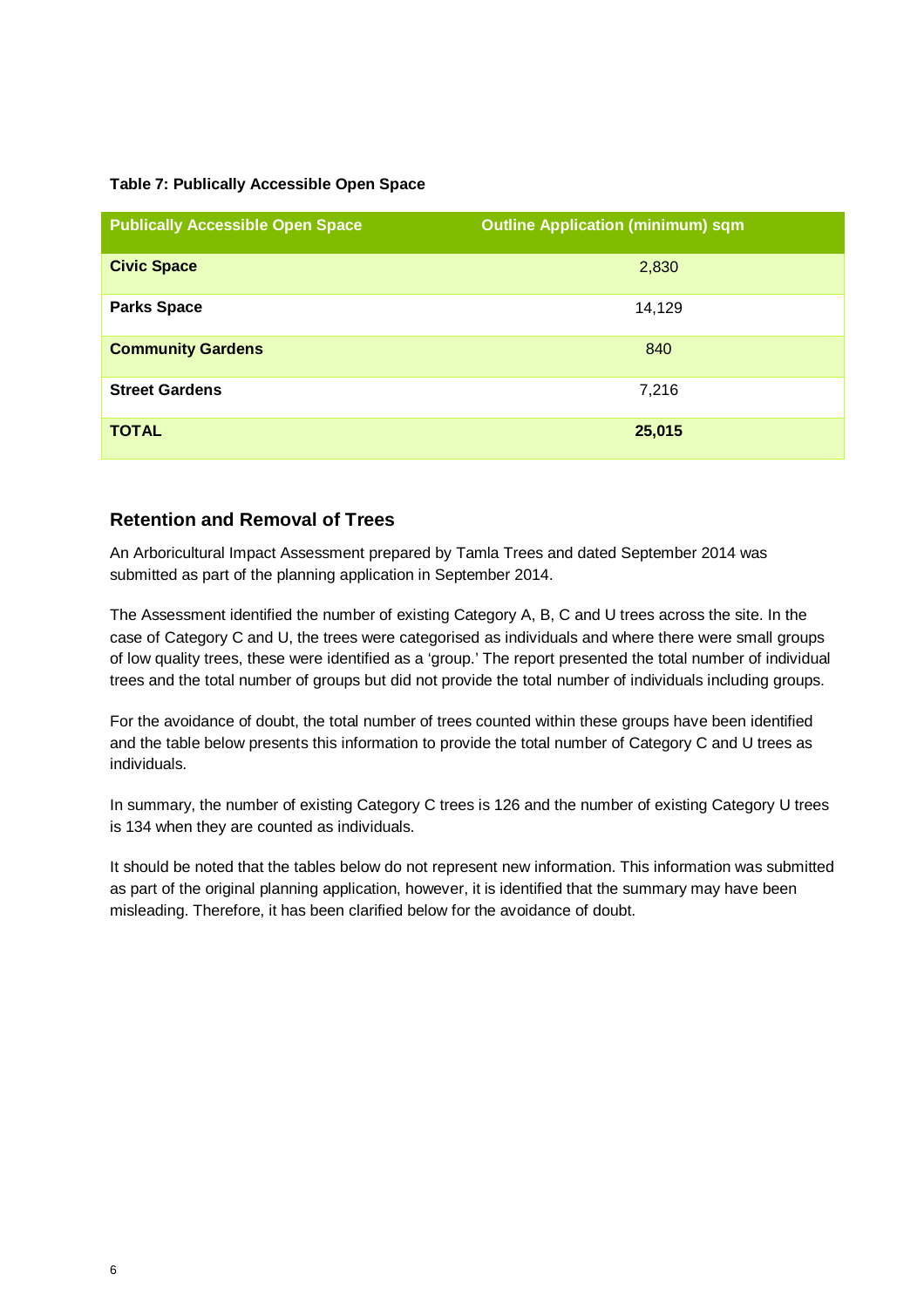# **Table 7: Publically Accessible Open Space**

| <b>Publically Accessible Open Space</b> | <b>Outline Application (minimum) sqm</b> |
|-----------------------------------------|------------------------------------------|
| <b>Civic Space</b>                      | 2,830                                    |
| <b>Parks Space</b>                      | 14,129                                   |
| <b>Community Gardens</b>                | 840                                      |
| <b>Street Gardens</b>                   | 7,216                                    |
| <b>TOTAL</b>                            | 25,015                                   |

# **Retention and Removal of Trees**

An Arboricultural Impact Assessment prepared by Tamla Trees and dated September 2014 was submitted as part of the planning application in September 2014.

The Assessment identified the number of existing Category A, B, C and U trees across the site. In the case of Category C and U, the trees were categorised as individuals and where there were small groups of low quality trees, these were identified as a 'group.' The report presented the total number of individual trees and the total number of groups but did not provide the total number of individuals including groups.

For the avoidance of doubt, the total number of trees counted within these groups have been identified and the table below presents this information to provide the total number of Category C and U trees as individuals.

In summary, the number of existing Category C trees is 126 and the number of existing Category U trees is 134 when they are counted as individuals.

It should be noted that the tables below do not represent new information. This information was submitted as part of the original planning application, however, it is identified that the summary may have been misleading. Therefore, it has been clarified below for the avoidance of doubt.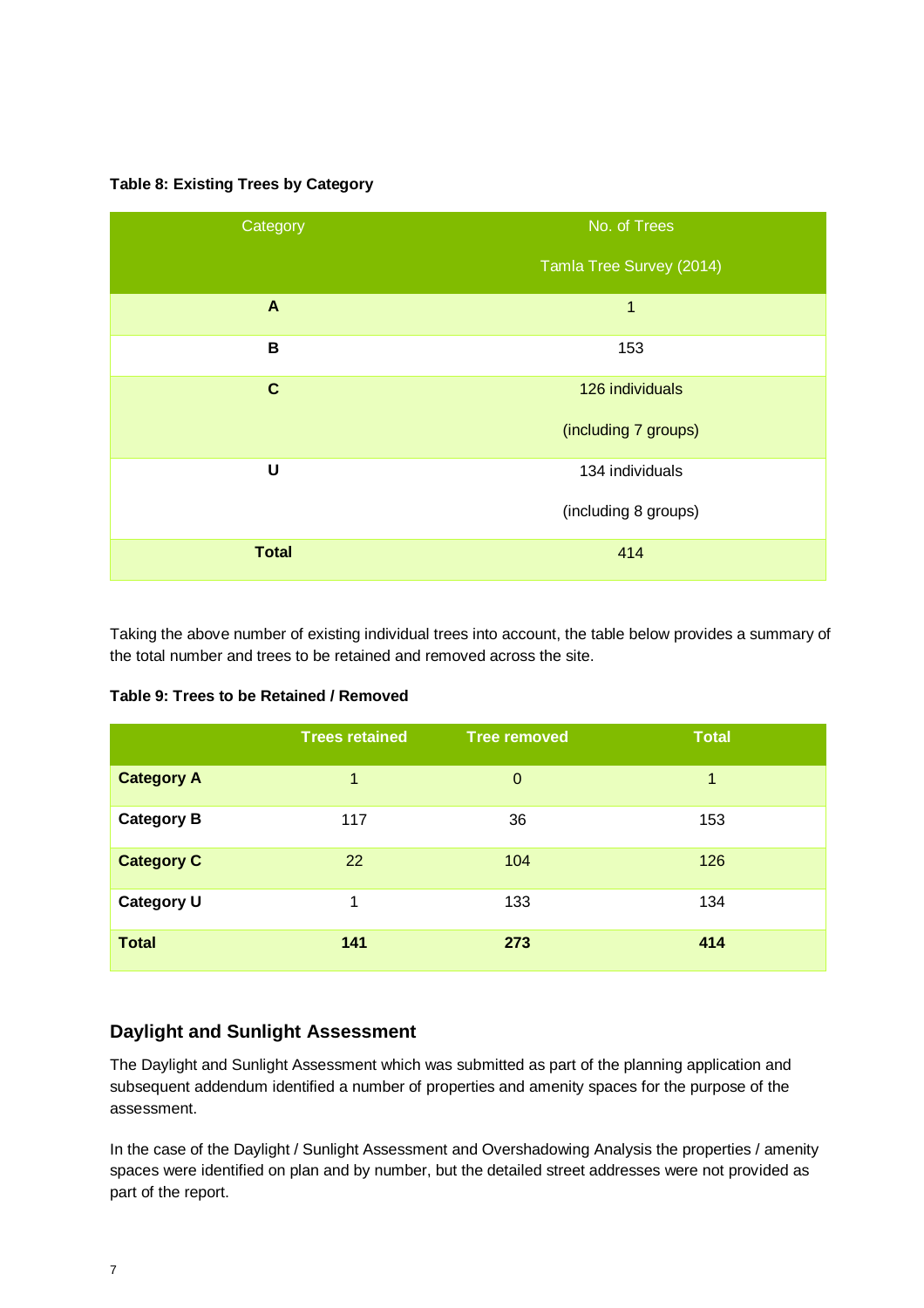# **Table 8: Existing Trees by Category**



Taking the above number of existing individual trees into account, the table below provides a summary of the total number and trees to be retained and removed across the site.

# **Table 9: Trees to be Retained / Removed**

|                   | <b>Trees retained</b> | <b>Tree removed</b> | <b>Total</b> |
|-------------------|-----------------------|---------------------|--------------|
| <b>Category A</b> | 1                     | $\mathbf 0$         | 1            |
| <b>Category B</b> | 117                   | 36                  | 153          |
| <b>Category C</b> | 22                    | 104                 | 126          |
| <b>Category U</b> | 1                     | 133                 | 134          |
| <b>Total</b>      | 141                   | 273                 | 414          |

# **Daylight and Sunlight Assessment**

The Daylight and Sunlight Assessment which was submitted as part of the planning application and subsequent addendum identified a number of properties and amenity spaces for the purpose of the assessment.

In the case of the Daylight / Sunlight Assessment and Overshadowing Analysis the properties / amenity spaces were identified on plan and by number, but the detailed street addresses were not provided as part of the report.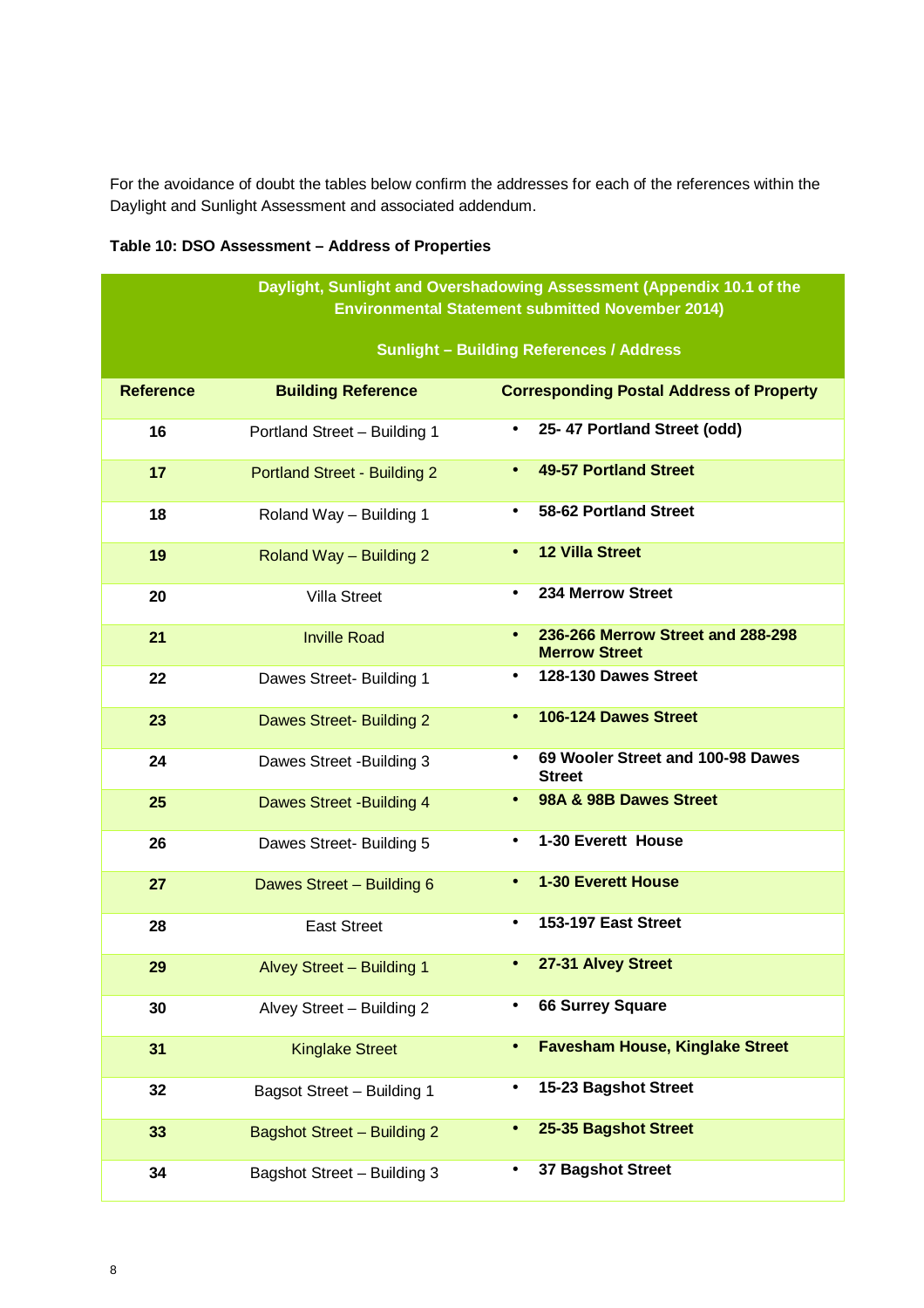For the avoidance of doubt the tables below confirm the addresses for each of the references within the Daylight and Sunlight Assessment and associated addendum.

|                  | Daylight, Sunlight and Overshadowing Assessment (Appendix 10.1 of the<br><b>Environmental Statement submitted November 2014)</b> |                                                                 |  |  |
|------------------|----------------------------------------------------------------------------------------------------------------------------------|-----------------------------------------------------------------|--|--|
|                  |                                                                                                                                  | <b>Sunlight - Building References / Address</b>                 |  |  |
| <b>Reference</b> | <b>Building Reference</b>                                                                                                        | <b>Corresponding Postal Address of Property</b>                 |  |  |
| 16               | Portland Street - Building 1                                                                                                     | 25-47 Portland Street (odd)<br>$\bullet$                        |  |  |
| 17               | <b>Portland Street - Building 2</b>                                                                                              | <b>49-57 Portland Street</b><br>$\bullet$                       |  |  |
| 18               | Roland Way - Building 1                                                                                                          | 58-62 Portland Street                                           |  |  |
| 19               | Roland Way - Building 2                                                                                                          | <b>12 Villa Street</b><br>$\bullet$                             |  |  |
| 20               | <b>Villa Street</b>                                                                                                              | 234 Merrow Street<br>$\bullet$                                  |  |  |
| 21               | <b>Inville Road</b>                                                                                                              | 236-266 Merrow Street and 288-298<br><b>Merrow Street</b>       |  |  |
| 22               | Dawes Street- Building 1                                                                                                         | 128-130 Dawes Street<br>$\bullet$                               |  |  |
| 23               | <b>Dawes Street- Building 2</b>                                                                                                  | 106-124 Dawes Street<br>$\bullet$                               |  |  |
| 24               | Dawes Street - Building 3                                                                                                        | 69 Wooler Street and 100-98 Dawes<br>$\bullet$<br><b>Street</b> |  |  |
| 25               | <b>Dawes Street -Building 4</b>                                                                                                  | 98A & 98B Dawes Street<br>$\bullet$                             |  |  |
| 26               | Dawes Street- Building 5                                                                                                         | 1-30 Everett House<br>$\bullet$                                 |  |  |
| 27               | Dawes Street - Building 6                                                                                                        | <b>1-30 Everett House</b>                                       |  |  |
| 28               | <b>East Street</b>                                                                                                               | 153-197 East Street<br>$\bullet$                                |  |  |
| 29               | Alvey Street - Building 1                                                                                                        | 27-31 Alvey Street<br>$\bullet$                                 |  |  |
| 30               | Alvey Street - Building 2                                                                                                        | <b>66 Surrey Square</b><br>$\bullet$                            |  |  |
| 31               | <b>Kinglake Street</b>                                                                                                           | <b>Favesham House, Kinglake Street</b><br>$\bullet$             |  |  |
| 32               | Bagsot Street - Building 1                                                                                                       | 15-23 Bagshot Street<br>$\bullet$                               |  |  |
| 33               | <b>Bagshot Street - Building 2</b>                                                                                               | 25-35 Bagshot Street<br>$\bullet$                               |  |  |
| 34               | Bagshot Street - Building 3                                                                                                      | 37 Bagshot Street<br>$\bullet$                                  |  |  |

# **Table 10: DSO Assessment – Address of Properties**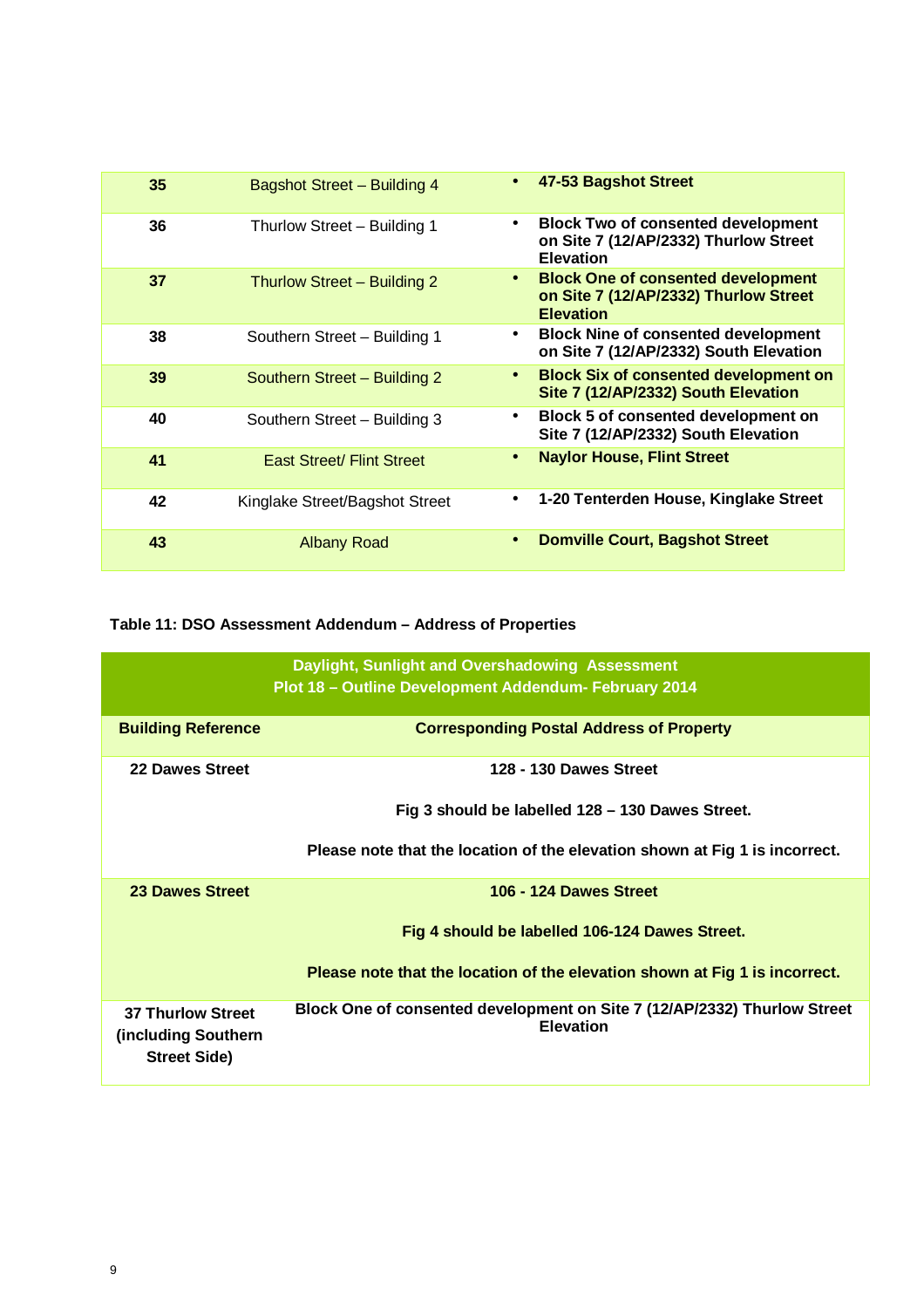| 35 | Bagshot Street - Building 4      | 47-53 Bagshot Street<br>$\bullet$                                                                                   |
|----|----------------------------------|---------------------------------------------------------------------------------------------------------------------|
| 36 | Thurlow Street - Building 1      | <b>Block Two of consented development</b><br>$\bullet$<br>on Site 7 (12/AP/2332) Thurlow Street<br><b>Elevation</b> |
| 37 | Thurlow Street - Building 2      | <b>Block One of consented development</b><br>$\bullet$<br>on Site 7 (12/AP/2332) Thurlow Street<br><b>Elevation</b> |
| 38 | Southern Street - Building 1     | <b>Block Nine of consented development</b><br>$\bullet$<br>on Site 7 (12/AP/2332) South Elevation                   |
| 39 | Southern Street - Building 2     | <b>Block Six of consented development on</b><br>$\bullet$<br>Site 7 (12/AP/2332) South Elevation                    |
| 40 | Southern Street - Building 3     | Block 5 of consented development on<br>$\bullet$<br>Site 7 (12/AP/2332) South Elevation                             |
| 41 | <b>East Street/ Flint Street</b> | <b>Naylor House, Flint Street</b><br>$\bullet$                                                                      |
| 42 | Kinglake Street/Bagshot Street   | 1-20 Tenterden House, Kinglake Street<br>$\bullet$                                                                  |
| 43 | <b>Albany Road</b>               | <b>Domville Court, Bagshot Street</b><br>$\bullet$                                                                  |

# **Table 11: DSO Assessment Addendum – Address of Properties**

|                                                                         | Daylight, Sunlight and Overshadowing Assessment<br>Plot 18 - Outline Development Addendum- February 2014 |
|-------------------------------------------------------------------------|----------------------------------------------------------------------------------------------------------|
| <b>Building Reference</b>                                               | <b>Corresponding Postal Address of Property</b>                                                          |
| <b>22 Dawes Street</b>                                                  | 128 - 130 Dawes Street                                                                                   |
|                                                                         | Fig 3 should be labelled 128 - 130 Dawes Street.                                                         |
|                                                                         | Please note that the location of the elevation shown at Fig 1 is incorrect.                              |
| <b>23 Dawes Street</b>                                                  | 106 - 124 Dawes Street                                                                                   |
|                                                                         | Fig 4 should be labelled 106-124 Dawes Street.                                                           |
|                                                                         | Please note that the location of the elevation shown at Fig 1 is incorrect.                              |
| <b>37 Thurlow Street</b><br>(including Southern)<br><b>Street Side)</b> | Block One of consented development on Site 7 (12/AP/2332) Thurlow Street<br><b>Elevation</b>             |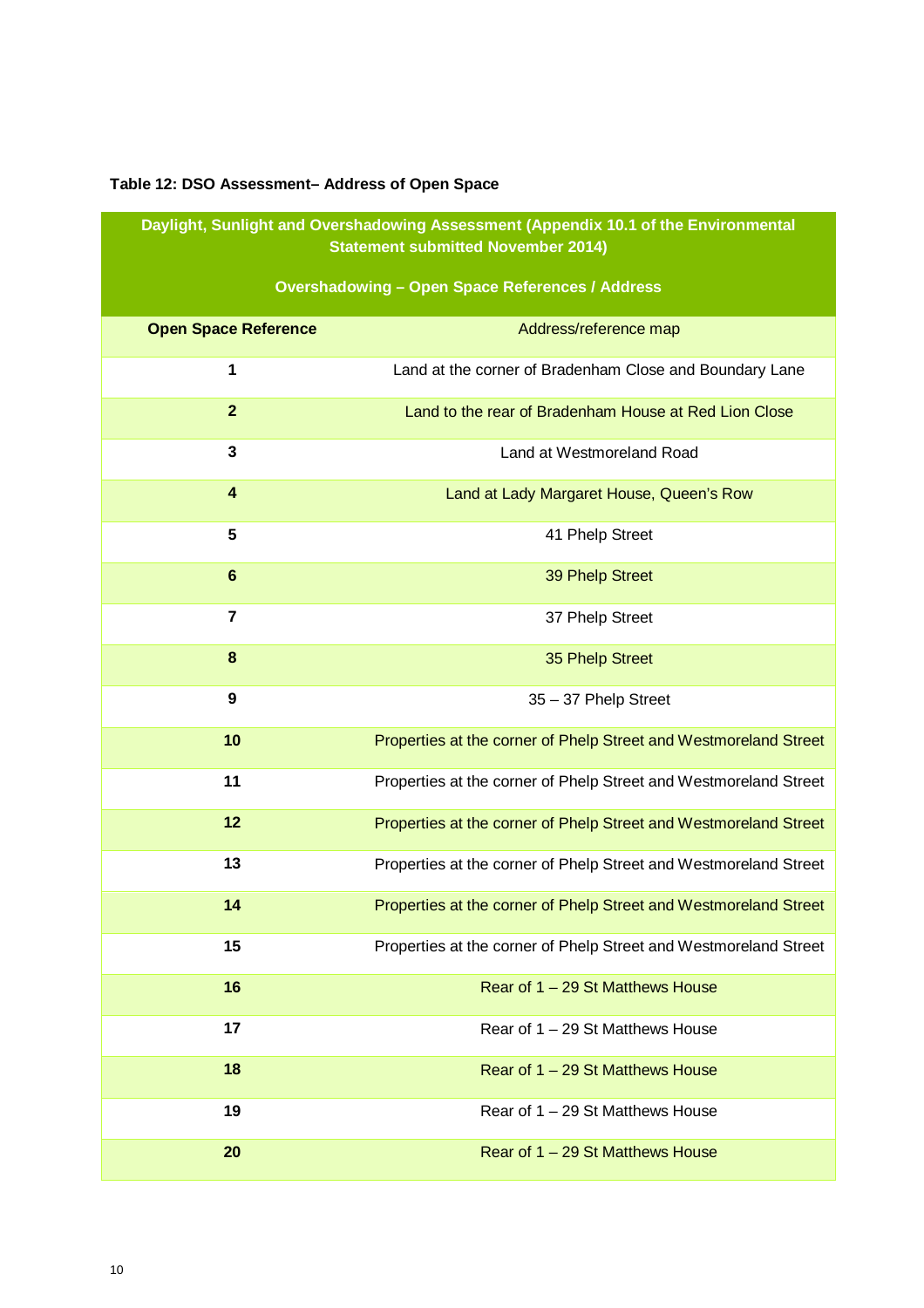# **Table 12: DSO Assessment– Address of Open Space**

**Daylight, Sunlight and Overshadowing Assessment (Appendix 10.1 of the Environmental Statement submitted November 2014)** 

# **Overshadowing – Open Space References / Address**

| <b>Open Space Reference</b> | Address/reference map                                            |
|-----------------------------|------------------------------------------------------------------|
| $\mathbf 1$                 | Land at the corner of Bradenham Close and Boundary Lane          |
| $\mathbf{2}$                | Land to the rear of Bradenham House at Red Lion Close            |
| 3                           | Land at Westmoreland Road                                        |
| $\overline{\mathbf{4}}$     | Land at Lady Margaret House, Queen's Row                         |
| 5                           | 41 Phelp Street                                                  |
| $6\phantom{1}6$             | 39 Phelp Street                                                  |
| $\overline{7}$              | 37 Phelp Street                                                  |
| 8                           | 35 Phelp Street                                                  |
| 9                           | 35 - 37 Phelp Street                                             |
| 10                          | Properties at the corner of Phelp Street and Westmoreland Street |
| 11                          | Properties at the corner of Phelp Street and Westmoreland Street |
| 12                          | Properties at the corner of Phelp Street and Westmoreland Street |
| 13                          | Properties at the corner of Phelp Street and Westmoreland Street |
| 14                          | Properties at the corner of Phelp Street and Westmoreland Street |
| 15                          | Properties at the corner of Phelp Street and Westmoreland Street |
| 16                          | Rear of 1 - 29 St Matthews House                                 |
| 17                          | Rear of $1 - 29$ St Matthews House                               |
| 18                          | Rear of 1 – 29 St Matthews House                                 |
| 19                          | Rear of 1 – 29 St Matthews House                                 |
| 20                          | Rear of 1 - 29 St Matthews House                                 |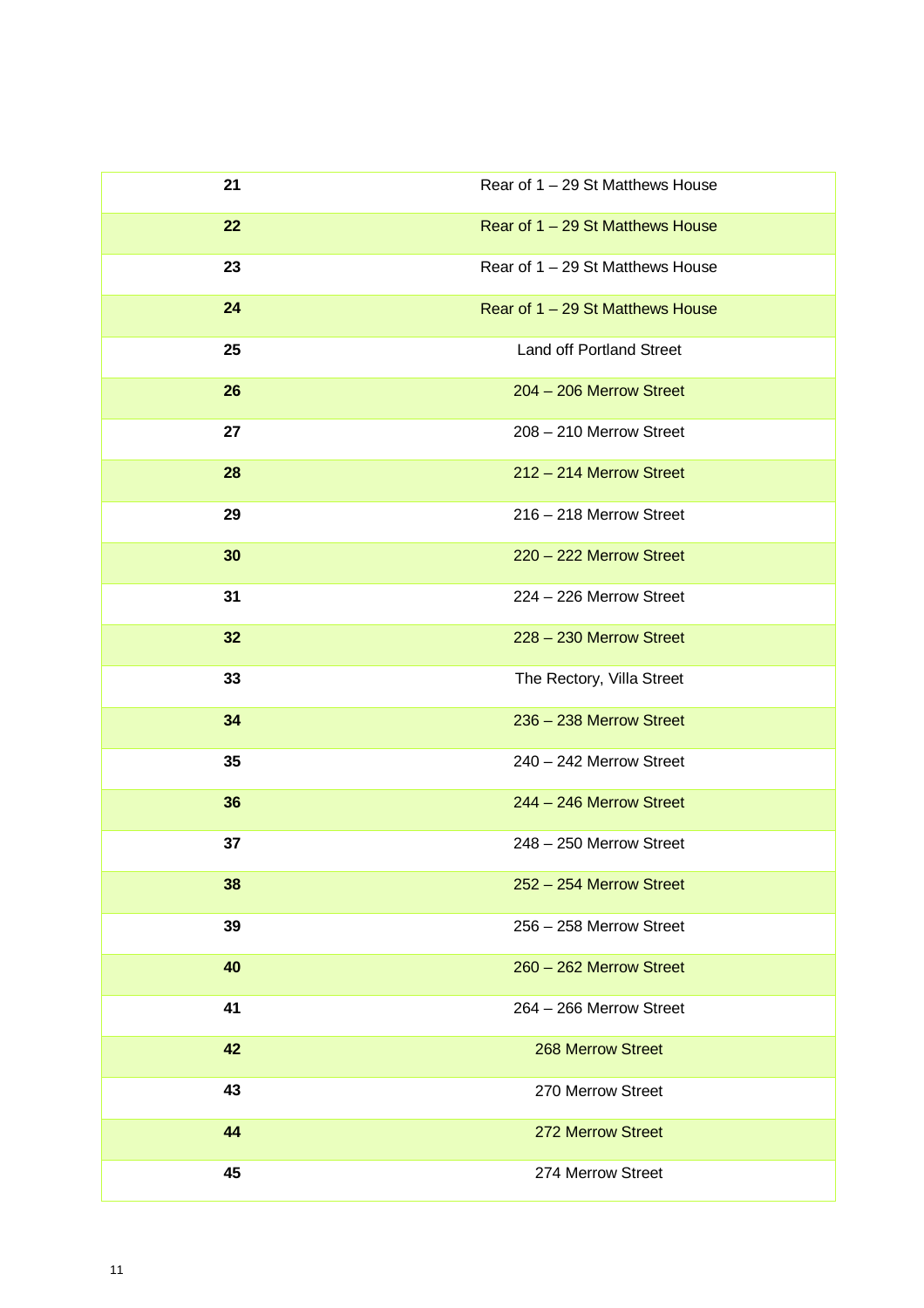| 21 | Rear of 1 - 29 St Matthews House |
|----|----------------------------------|
| 22 | Rear of 1 - 29 St Matthews House |
| 23 | Rear of 1 - 29 St Matthews House |
| 24 | Rear of 1 - 29 St Matthews House |
| 25 | <b>Land off Portland Street</b>  |
| 26 | 204 - 206 Merrow Street          |
| 27 | 208 - 210 Merrow Street          |
| 28 | 212 - 214 Merrow Street          |
| 29 | 216 - 218 Merrow Street          |
| 30 | 220 - 222 Merrow Street          |
| 31 | 224 - 226 Merrow Street          |
| 32 | 228 - 230 Merrow Street          |
| 33 | The Rectory, Villa Street        |
| 34 | 236 - 238 Merrow Street          |
| 35 | 240 - 242 Merrow Street          |
| 36 | 244 - 246 Merrow Street          |
| 37 | 248 - 250 Merrow Street          |
| 38 | 252 - 254 Merrow Street          |
| 39 | 256 - 258 Merrow Street          |
| 40 | 260 - 262 Merrow Street          |
| 41 | 264 - 266 Merrow Street          |
| 42 | <b>268 Merrow Street</b>         |
| 43 | 270 Merrow Street                |
| 44 | 272 Merrow Street                |
| 45 | 274 Merrow Street                |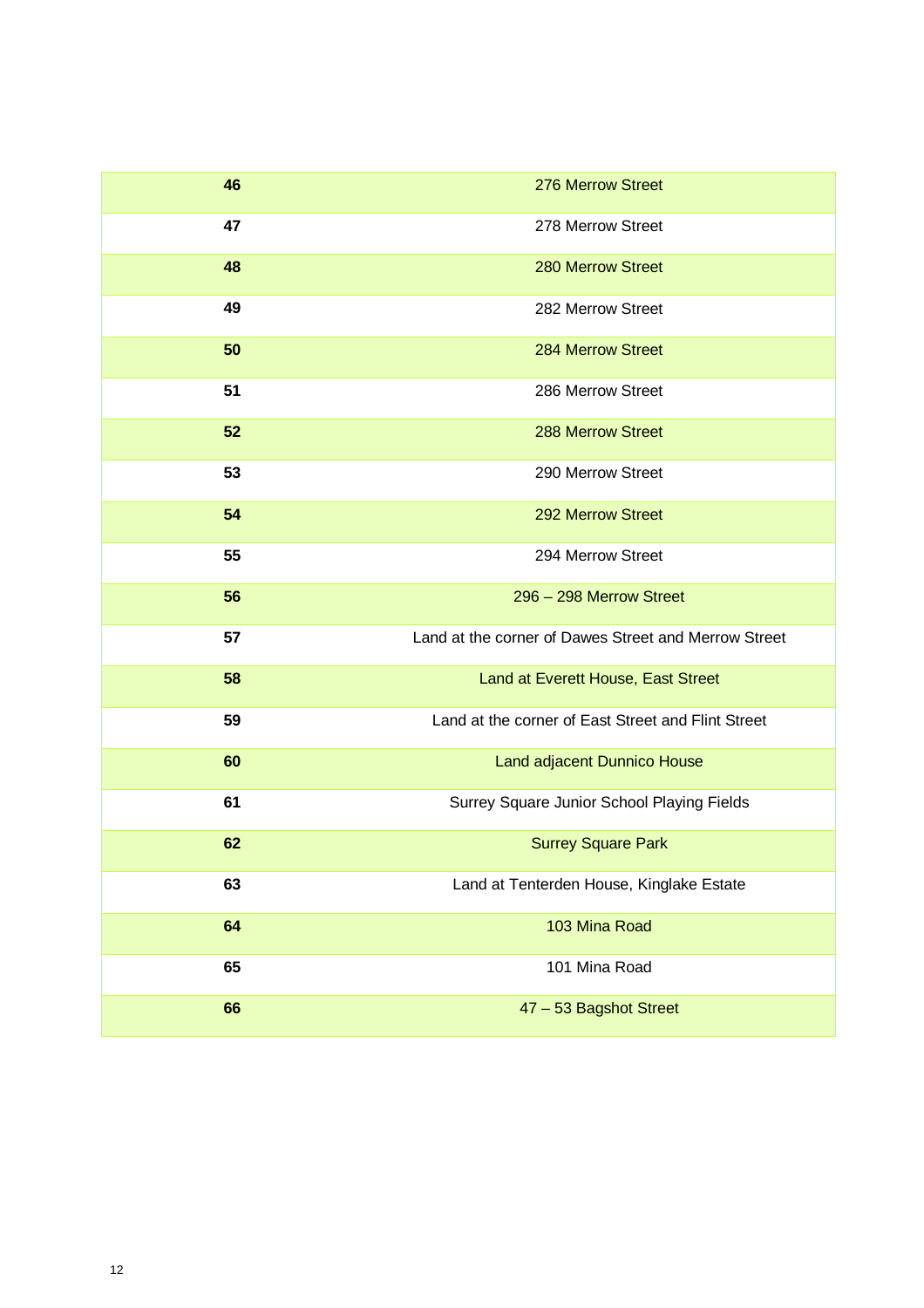| 46 | 276 Merrow Street                                    |
|----|------------------------------------------------------|
| 47 | 278 Merrow Street                                    |
| 48 | 280 Merrow Street                                    |
| 49 | 282 Merrow Street                                    |
| 50 | 284 Merrow Street                                    |
| 51 | 286 Merrow Street                                    |
| 52 | 288 Merrow Street                                    |
| 53 | 290 Merrow Street                                    |
| 54 | 292 Merrow Street                                    |
| 55 | 294 Merrow Street                                    |
| 56 | 296 - 298 Merrow Street                              |
| 57 | Land at the corner of Dawes Street and Merrow Street |
| 58 | Land at Everett House, East Street                   |
| 59 | Land at the corner of East Street and Flint Street   |
| 60 | Land adjacent Dunnico House                          |
| 61 | Surrey Square Junior School Playing Fields           |
| 62 | <b>Surrey Square Park</b>                            |
| 63 | Land at Tenterden House, Kinglake Estate             |
| 64 | 103 Mina Road                                        |
| 65 | 101 Mina Road                                        |
| 66 | 47 - 53 Bagshot Street                               |